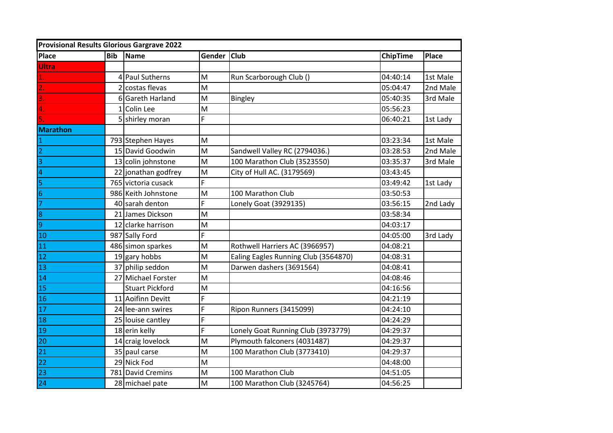| <b>Provisional Results Glorious Gargrave 2022</b> |               |                        |                                                                                       |                                      |                 |              |
|---------------------------------------------------|---------------|------------------------|---------------------------------------------------------------------------------------|--------------------------------------|-----------------|--------------|
| <b>Place</b>                                      | Bib           | Name                   | Gender Club                                                                           |                                      | <b>ChipTime</b> | <b>Place</b> |
| <b>Ultra</b>                                      |               |                        |                                                                                       |                                      |                 |              |
|                                                   |               | <b>Paul Sutherns</b>   | M                                                                                     | Run Scarborough Club ()              | 04:40:14        | 1st Male     |
|                                                   | $\mathcal{P}$ | costas flevas          | M                                                                                     |                                      | 05:04:47        | 2nd Male     |
|                                                   |               | 6 Gareth Harland       | M                                                                                     | Bingley                              | 05:40:35        | 3rd Male     |
|                                                   |               | Colin Lee              | M                                                                                     |                                      | 05:56:23        |              |
|                                                   |               | 5 shirley moran        | Ë                                                                                     |                                      | 06:40:21        | 1st Lady     |
| <b>Marathon</b>                                   |               |                        |                                                                                       |                                      |                 |              |
|                                                   |               | 793 Stephen Hayes      | M                                                                                     |                                      | 03:23:34        | 1st Male     |
|                                                   |               | 15 David Goodwin       | M                                                                                     | Sandwell Valley RC (2794036.)        | 03:28:53        | 2nd Male     |
| 3                                                 |               | 13 colin johnstone     | M                                                                                     | 100 Marathon Club (3523550)          | 03:35:37        | 3rd Male     |
| $\overline{a}$                                    |               | 22 jonathan godfrey    | $\mathsf{M}% _{T}=\mathsf{M}_{T}\!\left( a,b\right) ,\ \mathsf{M}_{T}=\mathsf{M}_{T}$ | City of Hull AC. (3179569)           | 03:43:45        |              |
| 5                                                 |               | 765 victoria cusack    | F                                                                                     |                                      | 03:49:42        | 1st Lady     |
| $\sqrt{6}$                                        |               | 986 Keith Johnstone    | M                                                                                     | 100 Marathon Club                    | 03:50:53        |              |
| 7                                                 |               | 40 sarah denton        | F                                                                                     | Lonely Goat (3929135)                | 03:56:15        | 2nd Lady     |
| $\overline{8}$                                    |               | 21 James Dickson       | M                                                                                     |                                      | 03:58:34        |              |
| $\overline{9}$                                    |               | 12 clarke harrison     | M                                                                                     |                                      | 04:03:17        |              |
| 10                                                |               | 987 Sally Ford         | F                                                                                     |                                      | 04:05:00        | 3rd Lady     |
| 11                                                |               | 486 simon sparkes      | M                                                                                     | Rothwell Harriers AC (3966957)       | 04:08:21        |              |
| 12                                                |               | $19$ gary hobbs        | $\mathsf{M}$                                                                          | Ealing Eagles Running Club (3564870) | 04:08:31        |              |
| 13                                                |               | 37 philip seddon       | $\mathsf{M}$                                                                          | Darwen dashers (3691564)             | 04:08:41        |              |
| 14                                                | 27            | Michael Forster        | M                                                                                     |                                      | 04:08:46        |              |
| 15                                                |               | <b>Stuart Pickford</b> | M                                                                                     |                                      | 04:16:56        |              |
| 16                                                |               | 11 Aoifinn Devitt      | F                                                                                     |                                      | 04:21:19        |              |
| 17                                                | 24            | lee-ann swires         | F                                                                                     | Ripon Runners (3415099)              | 04:24:10        |              |
| 18                                                |               | 25 louise cantley      | F                                                                                     |                                      | 04:24:29        |              |
| 19                                                |               | 18 erin kelly          | F                                                                                     | Lonely Goat Running Club (3973779)   | 04:29:37        |              |
| 20                                                |               | 14 craig lovelock      | M                                                                                     | Plymouth falconers (4031487)         | 04:29:37        |              |
| 21                                                |               | 35 paul carse          | M                                                                                     | 100 Marathon Club (3773410)          | 04:29:37        |              |
| 22                                                |               | 29 Nick Fod            | M                                                                                     |                                      | 04:48:00        |              |
| 23                                                |               | 781 David Cremins      | M                                                                                     | 100 Marathon Club                    | 04:51:05        |              |
| 24                                                |               | 28 michael pate        | M                                                                                     | 100 Marathon Club (3245764)          | 04:56:25        |              |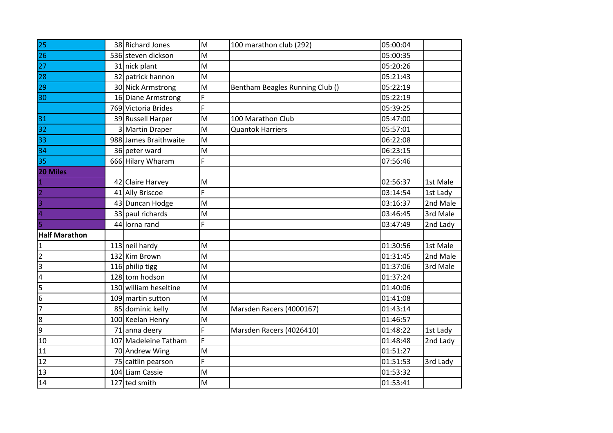| 25                   | 38 Richard Jones      | M | 100 marathon club (292)         | 05:00:04 |          |
|----------------------|-----------------------|---|---------------------------------|----------|----------|
| 26                   | 536 steven dickson    | M |                                 | 05:00:35 |          |
| 27                   | 31 nick plant         | M |                                 | 05:20:26 |          |
| 28                   | 32 patrick hannon     | M |                                 | 05:21:43 |          |
| 29                   | 30 Nick Armstrong     | M | Bentham Beagles Running Club () | 05:22:19 |          |
| 30                   | 16 Diane Armstrong    | F |                                 | 05:22:19 |          |
|                      | 769 Victoria Brides   | F |                                 | 05:39:25 |          |
| 31                   | 39 Russell Harper     | M | 100 Marathon Club               | 05:47:00 |          |
| 32                   | 3 Martin Draper       | M | <b>Quantok Harriers</b>         | 05:57:01 |          |
| 33                   | 988 James Braithwaite | M |                                 | 06:22:08 |          |
| 34                   | 36 peter ward         | M |                                 | 06:23:15 |          |
| 35                   | 666 Hilary Wharam     | F |                                 | 07:56:46 |          |
| 20 Miles             |                       |   |                                 |          |          |
|                      | 42 Claire Harvey      | M |                                 | 02:56:37 | 1st Male |
|                      | 41 Ally Briscoe       | Ë |                                 | 03:14:54 | 1st Lady |
|                      | 43 Duncan Hodge       | M |                                 | 03:16:37 | 2nd Male |
|                      | 33 paul richards      | M |                                 | 03:46:45 | 3rd Male |
|                      | 44 lorna rand         | F |                                 | 03:47:49 | 2nd Lady |
| <b>Half Marathon</b> |                       |   |                                 |          |          |
| $\mathbf 1$          | 113 neil hardy        | M |                                 | 01:30:56 | 1st Male |
| $\overline{2}$       | 132 Kim Brown         | M |                                 | 01:31:45 | 2nd Male |
| $\overline{3}$       | 116 philip tigg       | M |                                 | 01:37:06 | 3rd Male |
| $\pmb{4}$            | 128 tom hodson        | M |                                 | 01:37:24 |          |
| $\overline{5}$       | 130 william heseltine | M |                                 | 01:40:06 |          |
| $\overline{6}$       | 109 martin sutton     | M |                                 | 01:41:08 |          |
| $\overline{7}$       | 85 dominic kelly      | M | Marsden Racers (4000167)        | 01:43:14 |          |
| $\overline{8}$       | 100 Keelan Henry      | M |                                 | 01:46:57 |          |
| 9                    | 71 anna deery         | F | Marsden Racers (4026410)        | 01:48:22 | 1st Lady |
| 10                   | 107 Madeleine Tatham  | F |                                 | 01:48:48 | 2nd Lady |
| 11                   | 70 Andrew Wing        | M |                                 | 01:51:27 |          |
| 12                   | 75 caitlin pearson    | F |                                 | 01:51:53 | 3rd Lady |
| 13                   | 104 Liam Cassie       | M |                                 | 01:53:32 |          |
| 14                   | 127 ted smith         | M |                                 | 01:53:41 |          |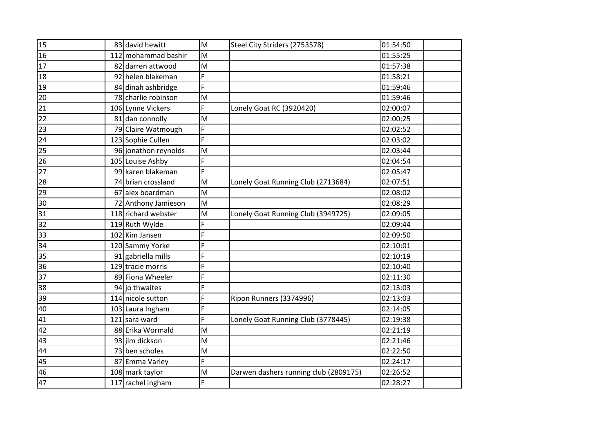| 15 |     | 83 david hewitt      | M | Steel City Striders (2753578)         | 01:54:50 |
|----|-----|----------------------|---|---------------------------------------|----------|
| 16 | 112 | mohammad bashir      | M |                                       | 01:55:25 |
| 17 |     | 82 darren attwood    | M |                                       | 01:57:38 |
| 18 | 92  | helen blakeman       | F |                                       | 01:58:21 |
| 19 |     | 84 dinah ashbridge   | F |                                       | 01:59:46 |
| 20 |     | 78 charlie robinson  | M |                                       | 01:59:46 |
| 21 |     | 106 Lynne Vickers    | F | Lonely Goat RC (3920420)              | 02:00:07 |
| 22 | 81  | dan connolly         | M |                                       | 02:00:25 |
| 23 |     | 79 Claire Watmough   | F |                                       | 02:02:52 |
| 24 |     | 123 Sophie Cullen    | F |                                       | 02:03:02 |
| 25 |     | 96 jonathon reynolds | M |                                       | 02:03:44 |
| 26 |     | 105 Louise Ashby     | F |                                       | 02:04:54 |
| 27 |     | 99 karen blakeman    | F |                                       | 02:05:47 |
| 28 |     | 74 brian crossland   | M | Lonely Goat Running Club (2713684)    | 02:07:51 |
| 29 |     | 67 alex boardman     | M |                                       | 02:08:02 |
| 30 |     | 72 Anthony Jamieson  | M |                                       | 02:08:29 |
| 31 |     | 118 richard webster  | M | Lonely Goat Running Club (3949725)    | 02:09:05 |
| 32 |     | 119 Ruth Wylde       | F |                                       | 02:09:44 |
| 33 |     | 102 Kim Jansen       | F |                                       | 02:09:50 |
| 34 |     | 120 Sammy Yorke      | F |                                       | 02:10:01 |
| 35 |     | 91 gabriella mills   | F |                                       | 02:10:19 |
| 36 |     | 129 tracie morris    | F |                                       | 02:10:40 |
| 37 |     | 89 Fiona Wheeler     | F |                                       | 02:11:30 |
| 38 |     | 94 jo thwaites       | F |                                       | 02:13:03 |
| 39 |     | 114 nicole sutton    | F | Ripon Runners (3374996)               | 02:13:03 |
| 40 |     | 103 Laura Ingham     | F |                                       | 02:14:05 |
| 41 |     | 121 sara ward        | F | Lonely Goat Running Club (3778445)    | 02:19:38 |
| 42 |     | 88 Erika Wormald     | M |                                       | 02:21:19 |
| 43 |     | 93 jim dickson       | M |                                       | 02:21:46 |
| 44 |     | 73 ben scholes       | M |                                       | 02:22:50 |
| 45 | 87  | <b>Emma Varley</b>   | F |                                       | 02:24:17 |
| 46 |     | 108 mark taylor      | M | Darwen dashers running club (2809175) | 02:26:52 |
| 47 |     | 117 rachel ingham    | F |                                       | 02:28:27 |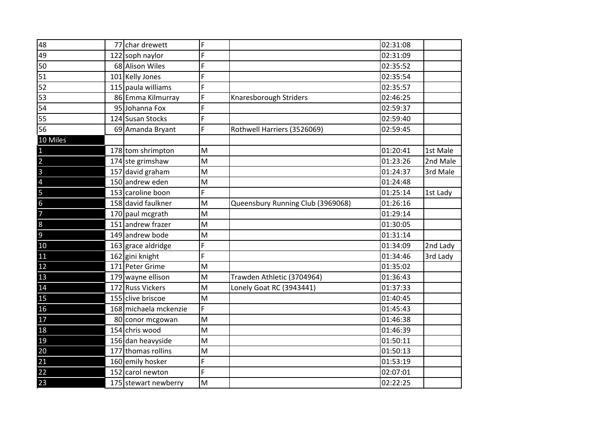| 48                                                                    | 77 | char drewett          | F |                                   | 02:31:08 |          |
|-----------------------------------------------------------------------|----|-----------------------|---|-----------------------------------|----------|----------|
| 49                                                                    |    | 122 soph naylor       | F |                                   | 02:31:09 |          |
| 50                                                                    |    | 68 Alison Wiles       | F |                                   | 02:35:52 |          |
| 51                                                                    |    | 101 Kelly Jones       | F |                                   | 02:35:54 |          |
| 52                                                                    |    | 115 paula williams    | F |                                   | 02:35:57 |          |
| 53                                                                    |    | 86 Emma Kilmurray     | F | Knaresborough Striders            | 02:46:25 |          |
| 54                                                                    |    | 95 Johanna Fox        | F |                                   | 02:59:37 |          |
| 55                                                                    |    | 124 Susan Stocks      | F |                                   | 02:59:40 |          |
| 56                                                                    |    | 69 Amanda Bryant      | F | Rothwell Harriers (3526069)       | 02:59:45 |          |
| 10 Miles                                                              |    |                       |   |                                   |          |          |
| $\overline{1}$                                                        |    | 178 tom shrimpton     | M |                                   | 01:20:41 | 1st Male |
|                                                                       |    | 174 ste grimshaw      | M |                                   | 01:23:26 | 2nd Male |
|                                                                       |    | 157 david graham      | M |                                   | 01:24:37 | 3rd Male |
|                                                                       |    | 150 andrew eden       | M |                                   | 01:24:48 |          |
|                                                                       |    | 153 caroline boon     | F |                                   | 01:25:14 | 1st Lady |
| $\frac{2}{3}$ $\frac{3}{4}$ $\frac{4}{5}$ $\frac{5}{6}$ $\frac{1}{7}$ |    | 158 david faulkner    | M | Queensbury Running Club (3969068) | 01:26:16 |          |
|                                                                       |    | 170 paul mcgrath      | M |                                   | 01:29:14 |          |
| $\overline{8}$                                                        |    | 151 andrew frazer     | M |                                   | 01:30:05 |          |
| $\frac{9}{10}$                                                        |    | 149 andrew bode       | M |                                   | 01:31:14 |          |
|                                                                       |    | 163 grace aldridge    | F |                                   | 01:34:09 | 2nd Lady |
| 11                                                                    |    | 162 gini knight       | F |                                   | 01:34:46 | 3rd Lady |
| 12                                                                    |    | 171 Peter Grime       | M |                                   | 01:35:02 |          |
| 13                                                                    |    | 179 wayne ellison     | M | Trawden Athletic (3704964)        | 01:36:43 |          |
| 14                                                                    |    | 172 Russ Vickers      | M | Lonely Goat RC (3943441)          | 01:37:33 |          |
| 15                                                                    |    | 155 clive briscoe     | M |                                   | 01:40:45 |          |
| 16                                                                    |    | 168 michaela mckenzie | F |                                   | 01:45:43 |          |
| 17                                                                    |    | 80 conor mcgowan      | M |                                   | 01:46:38 |          |
| 18                                                                    |    | 154 chris wood        | M |                                   | 01:46:39 |          |
| 19                                                                    |    | 156 dan heavyside     | M |                                   | 01:50:11 |          |
| 20                                                                    |    | 177 thomas rollins    | M |                                   | 01:50:13 |          |
| 21                                                                    |    | 160 emily hosker      | F |                                   | 01:53:19 |          |
| 22                                                                    |    | 152 carol newton      | F |                                   | 02:07:01 |          |
| 23                                                                    |    | 175 stewart newberry  | M |                                   | 02:22:25 |          |
|                                                                       |    |                       |   |                                   |          |          |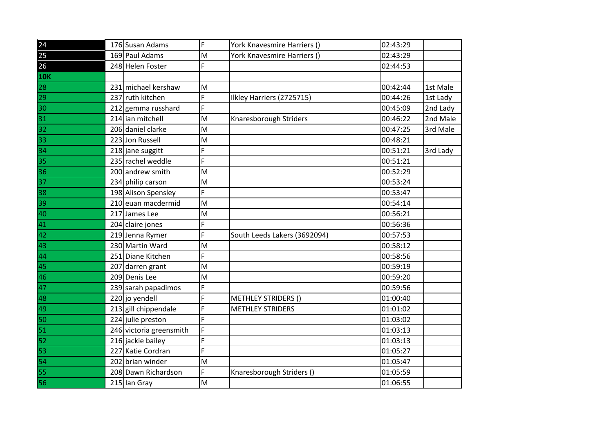| 24         | 176 Susan Adams                           | F      | York Knavesmire Harriers ()  | 02:43:29 |          |
|------------|-------------------------------------------|--------|------------------------------|----------|----------|
| 25         | 169 Paul Adams                            | M      | York Knavesmire Harriers ()  | 02:43:29 |          |
| 26         | 248 Helen Foster                          | F      |                              | 02:44:53 |          |
| <b>10K</b> |                                           |        |                              |          |          |
| 28         | 231 michael kershaw                       | M      |                              | 00:42:44 | 1st Male |
| 29         | 237 ruth kitchen                          | F      | Ilkley Harriers (2725715)    | 00:44:26 | 1st Lady |
| 30         | 212 gemma russhard                        | F      |                              | 00:45:09 | 2nd Lady |
| 31         | 214 ian mitchell                          | M      | Knaresborough Striders       | 00:46:22 | 2nd Male |
| 32         | 206 daniel clarke                         | M      |                              | 00:47:25 | 3rd Male |
| 33         | 223 Jon Russell                           | M      |                              | 00:48:21 |          |
| 34         | 218 jane suggitt                          | F      |                              | 00:51:21 | 3rd Lady |
|            | 235 rachel weddle                         | F      |                              | 00:51:21 |          |
| 35<br>36   | 200 andrew smith                          | M      |                              | 00:52:29 |          |
| 37         | 234 philip carson                         | M      |                              | 00:53:24 |          |
|            |                                           | F      |                              |          |          |
| 38         | 198 Alison Spensley<br>210 euan macdermid |        |                              | 00:53:47 |          |
| 39         |                                           | M<br>M |                              | 00:54:14 |          |
| 40         | 217 James Lee                             | F      |                              | 00:56:21 |          |
| 41         | 204 claire jones                          | Ë      |                              | 00:56:36 |          |
| 42         | 219 Jenna Rymer                           |        | South Leeds Lakers (3692094) | 00:57:53 |          |
| 43         | 230 Martin Ward                           | M      |                              | 00:58:12 |          |
| 44         | 251 Diane Kitchen                         | F      |                              | 00:58:56 |          |
| 45         | 207 darren grant                          | M      |                              | 00:59:19 |          |
| 46         | 209 Denis Lee                             | M      |                              | 00:59:20 |          |
| 47         | 239 sarah papadimos                       | F      |                              | 00:59:56 |          |
| 48         | 220 jo yendell                            | F      | <b>METHLEY STRIDERS ()</b>   | 01:00:40 |          |
| 49         | 213 gill chippendale                      | F      | <b>METHLEY STRIDERS</b>      | 01:01:02 |          |
| 50         | 224 julie preston                         | F      |                              | 01:03:02 |          |
| 51         | 246 victoria greensmith                   | F      |                              | 01:03:13 |          |
| 52         | 216 jackie bailey                         | F      |                              | 01:03:13 |          |
| 53         | 227 Katie Cordran                         | F      |                              | 01:05:27 |          |
| 54         | 202 brian winder                          | M      |                              | 01:05:47 |          |
| 55         | 208 Dawn Richardson                       | F      | Knaresborough Striders ()    | 01:05:59 |          |
| 56         | 215 lan Gray                              | M      |                              | 01:06:55 |          |